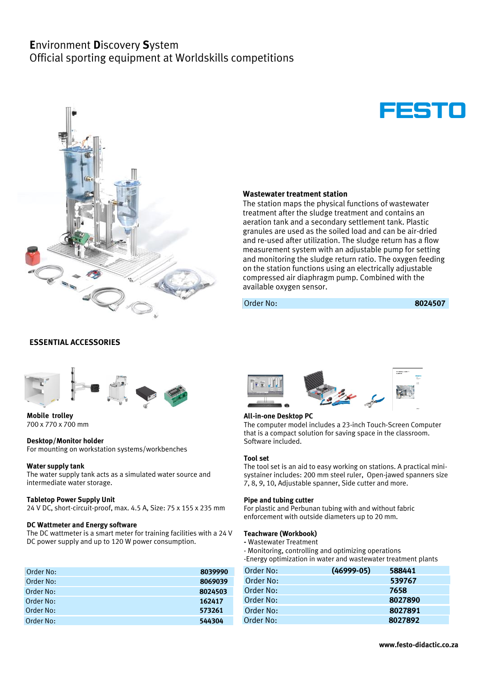# **E**nvironment **D**iscovery **S**ystem Official sporting equipment at Worldskills competitions





# **Wastewater treatment station**

The station maps the physical functions of wastewater treatment after the sludge treatment and contains an aeration tank and a secondary settlement tank. Plastic granules are used as the soiled load and can be air-dried and re-used after utilization. The sludge return has a flow measurement system with an adjustable pump for setting and monitoring the sludge return ratio. The oxygen feeding on the station functions using an electrically adjustable compressed air diaphragm pump. Combined with the available oxygen sensor.

Order No: **8024507**

### **ESSENTIAL ACCESSORIES**



**Mobile trolley** 700 x 770 x 700 mm

#### **Desktop/Monitor holder**

For mounting on workstation systems/workbenches

#### **Water supply tank**

The water supply tank acts as a simulated water source and intermediate water storage.

#### **Tabletop Power Supply Unit**

24 V DC, short-circuit-proof, max. 4.5 A, Size: 75 x 155 x 235 mm

### **DC Wattmeter and Energy software**

The DC wattmeter is a smart meter for training facilities with a 24 V DC power supply and up to 120 W power consumption.

| Order No: | 8039990 | Order No: | $(46999-05)$ | 588441 |
|-----------|---------|-----------|--------------|--------|
| Order No: | 8069039 | Order No: |              | 539767 |
| Order No: | 8024503 | Order No: |              | 7658   |
| Order No: | 162417  | Order No: |              | 802789 |
| Order No: | 573261  | Order No: |              | 802789 |
| Order No: | 544304  | Order No: |              | 802789 |



#### **All-in-one Desktop PC**

The computer model includes a 23-inch Touch-Screen Computer that is a compact solution for saving space in the classroom. Software included.

#### **Tool set**

The tool set is an aid to easy working on stations. A practical minisystainer includes: 200 mm steel ruler, Open-jawed spanners size 7, 8, 9, 10, Adjustable spanner, Side cutter and more.

#### **Pipe and tubing cutter**

For plastic and Perbunan tubing with and without fabric enforcement with outside diameters up to 20 mm.

#### **Teachware (Workbook)**

**-** Wastewater Treatment

- Monitoring, controlling and optimizing operations

-Energy optimization in water and wastewater treatment plants

| Order No: | $(46999-05)$ | 588441  |
|-----------|--------------|---------|
| Order No: |              | 539767  |
| Order No: |              | 7658    |
| Order No: |              | 8027890 |
| Order No: |              | 8027891 |
| Order No: |              | 8027892 |